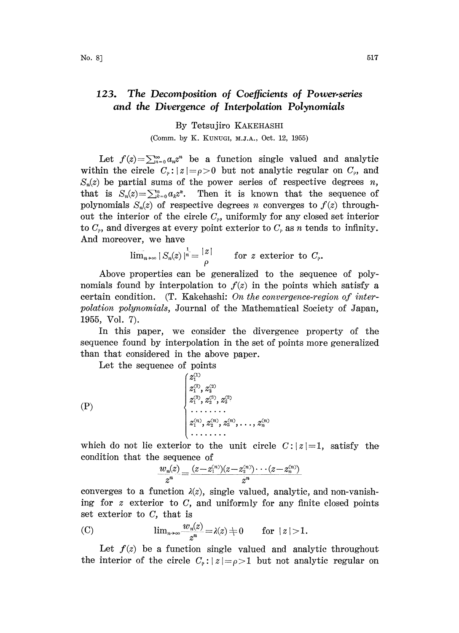## 123. The Decomposition of Coefficients of Power-series and the Divergence of Interpolation Polynomials

## By Tetsujiro KAKEHASHI (Comm. by K. KUNUGI, M.J.A., Oct. 12, 1955)

Let  $f(z) = \sum_{n=0}^{\infty} a_n z^n$  be a function single valued and analytic within the circle  $C_{\rho}$ :  $|z| = \rho > 0$  but not analytic regular on  $C_{\rho}$ , and  $S_n(z)$  be partial sums of the power series of respective degrees n, that is  $S_n(z) = \sum_{k=0}^n a_k z^k$ . Then it is known that the sequence of polynomials  $S_n(z)$  of respective degrees n converges to  $f(z)$  throughout the interior of the circle  $C_{\rho}$ , uniformly for any closed set interior to  $C_{\rho}$ , and diverges at every point exterior to  $C_{\rho}$  as n tends to infinity. And moreover, we have

$$
\overline{\lim}_{n\to\infty} |S_n(z)|^{\frac{1}{n}} = \frac{|z|}{\rho} \quad \text{for } z \text{ exterior to } C_{\rho}.
$$

 $\bar{x} = \begin{vmatrix} z \\ \rho \end{vmatrix}$  for z exterior to  $C_{\rho}$ ,<br>
n be generalized to the seque<br>
olation to  $f(z)$  in the points where Above properties can be generalized to the sequence of polynomials found by interpolation to  $f(z)$  in the points which satisfy a certain condition.  $(T. Kakehash: On the convergence-region of inter$ polation polynomials, Journal of the Mathematical Society of Japan, 1955, Vol. 7).

In this paper, we consider the divergence property of the sequence found by interpolation in the set of points more generalized than that considered in the above paper.

Let the sequence of points

Z? Z2 (P) z?, o z.

which do not lie exterior to the unit circle  $C: |z|=1$ , satisfy the condition that the sequence of

$$
\frac{w_n(z)}{z^n} = \frac{(z - z_1^{(n)})(z - z_2^{(n)}) \cdots (z - z_n^{(n)})}{z^n}
$$

converges to a function  $\lambda(z)$ , single valued, analytic, and non-vanishing for  $z$  exterior to  $C$ , and uniformly for any finite closed points set exterior to  $C$ , that is

(C) 
$$
\lim_{n\to\infty}\frac{w_n(z)}{z^n}=\lambda(z)+0 \quad \text{for } |z|>1.
$$

Let  $f(z)$  be a function single valued and analytic throughout the interior of the circle  $C_{\rho}: |z| = \rho > 1$  but not analytic regular on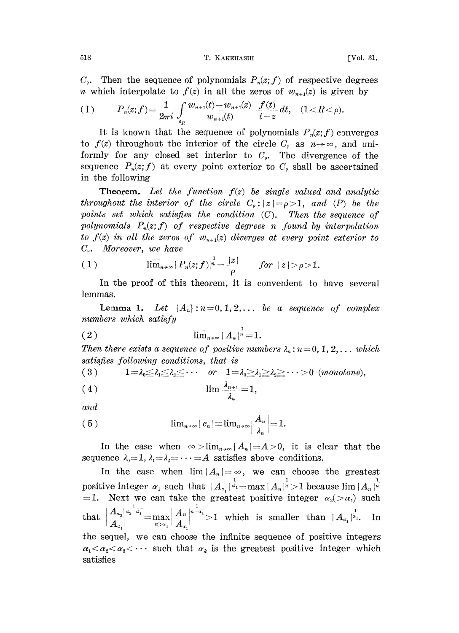518 T. KAKEHASHI [Vol. 31,

 $C_{\rho}$ . Then the sequence of polynomials  $P_n(z; f)$  of respective degrees *n* which interpolate to  $f(z)$  in all the zeros of  $w_{n+1}(z)$  is given by

$$
(1) \tP_n(z;f) = \frac{1}{2\pi i} \int_{c_n} \frac{w_{n+1}(t) - w_{n+1}(z)}{w_{n+1}(t)} \frac{f(t)}{t-z} dt, \t(1 < R < \rho).
$$

It is known that the sequence of polynomials  $P_n(z;f)$  converges to  $f(z)$  throughout the interior of the circle  $C_{\rho}$  as  $n \rightarrow \infty$ , and uniformly for any closed set interior to  $C_{\rho}$ . The divergence of the sequence  $P_n(z;f)$  at every point exterior to  $C_p$  shall be ascertained in the following

**Theorem.** Let the function  $f(z)$  be single valued and analytic throughout the interior of the circle  $C_{\rho}: |z| = \rho > 1$ , and (P) be the points set which satisfies the condition  $(C)$ . Then the sequence of polynomials  $P_n(z; f)$  of respective degrees n found by interpolation to  $f(z)$  in all the zeros of  $w_{n+1}(z)$  diverges at every point exterior to  $C_{\varphi}$ . Moreover, we have

(1) 
$$
\lim_{n\to\infty} |P_n(z;f)|^{\frac{1}{n}} = \frac{|z|}{\rho} \quad \text{for} \quad |z| > \rho > 1.
$$

In the proof of this theorem, it is convenient to have several lemmas.

**Lemma 1.** Let  $\{A_n\} : n=0,1,2,\ldots$  be a sequence of complex numbers which satisfy

$$
(2) \qquad \qquad \lim_{n\to\infty} |A_n|^{\frac{1}{n}}=1.
$$

(2)  $\lim_{n\to\infty} |A_n|^n = 1.$ <br>Then there exists a sequence of positive numbers  $\lambda_n$ : n=0, 1, 2,... which satisfies following conditions, that is

subsets *Notouviny continuous*, *that* is  
\n(3) 
$$
1 = \lambda_0 \leq \lambda_1 \leq \lambda_2 \leq \cdots
$$
 or  $1 = \lambda_0 \geq \lambda_1 \geq \lambda_2 \geq \cdots > 0$  (*monotone*),

$$
(4) \qquad \lim_{\longrightarrow} \frac{\lambda_{n+1}}{2} = 1,
$$

and

$$
(5) \qquad \qquad \lim_{n\to\infty} |c_n| = \lim_{n\to\infty} \left|\frac{A_n}{\lambda_n}\right| = 1.
$$

In the case when  $\infty > \lim_{n\to\infty} |A_n|=A>0$ , it is clear that the sequence  $\lambda_0 = 1$ ,  $\lambda_1 = \lambda_2 = \cdots = A$  satisfies above conditions.

In the case when  $\lim |A_n| = \infty$ , we can choose the greatest positive integer  $\alpha_1$  such that  $|A_{\alpha_1}|^{\frac{1}{\alpha_1}} = \max |A_{\alpha_1}|^{\frac{1}{\alpha}} > 1$  because lim  $|A_{\alpha_1}|^{\frac{1}{\alpha}}$ =1. Next we can take the greatest positive integer  $\alpha_2(>\alpha_1)$  such that  $\begin{cases} A^{n} \ A_{n} \end{cases} = \max_{n > n_1} \begin{cases} A^{n} \ A_{n_1} \end{cases}$  and  $A^{n-1} > 1$  which is smaller than  $|A_{n_1}|^{\alpha_1}$ . In the sequel, we can choose the infinite sequence of positive integers  $\alpha_1 < \alpha_2 < \alpha_3 < \cdots$  such that  $\alpha_k$  is the greatest positive integer which satisfies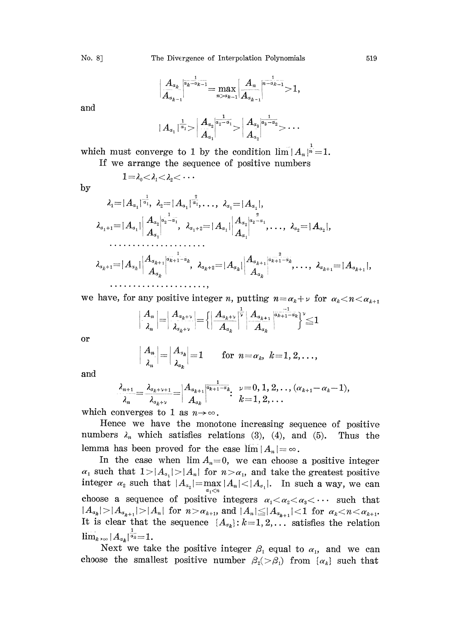$$
\left|\frac{A_{\alpha_{k}}}{A_{\alpha_{k-1}}}\right|^{\frac{1}{\alpha_{k}-\alpha_{k-1}}}= \max_{n>\alpha_{k-1}}\left|\frac{A_{n}}{A_{\alpha_{k-1}}}\right|^{-\frac{1}{\alpha_{k-1}}}>1,
$$

and

by

$$
|\,A_{a_1}\,|^{\frac{1}{a_1}}\!\!>\!\left|\frac{A_{a_2}}{A_{a_1}}\!\!\left|^{\frac{1}{a_2-a_1}}\!\!>\right|\frac{A_{a_3}}{A_{a_2}}\!\!\left|^{\frac{1}{a_3-a_2}}\!\!>\cdots\right.
$$

which must converge to 1 by the condition  $\lim_{n \to \infty} |A_n|^{\frac{1}{n}} = 1$ .

If we arrange the sequence of positive numbers

$$
1{=}\lambda_0{<}\lambda_1{<}\lambda_2{<}\cdots
$$

$$
\lambda_{\scriptscriptstyle 1} {=} |A_{\scriptscriptstyle \alpha_{\scriptscriptstyle 1}}|^\gamma
$$

$$
\lambda_1 = |A_{a_1}|^{\frac{1}{a_1}}, \lambda_2 = |A_{a_1}|^{\frac{2}{a_1}}, \dots, \lambda_{a_1} = |A_{a_1}|, \n\lambda_{a_1+1} = |A_{a_1}| \begin{vmatrix} A_{a_2}|_{a_2 - a_1} \\ A_{a_1} \end{vmatrix}, \lambda_{a_1+2} = |A_{a_1}| \begin{vmatrix} A_{a_2}|_{a_2 - a_1} \\ A_{a_1} \end{vmatrix}, \dots, \lambda_{a_2} = |A_{a_2}|, \n\dots \dots \dots \dots \dots \n\lambda_{a_{k+1}} = |A_{a_k}| \begin{vmatrix} A_{a_{k+1}}|_{a_{k+1} - a_k} \\ A_{a_k} \end{vmatrix}, \lambda_{a_{k+2}} = |A_{a_k}| \begin{vmatrix} A_{a_{k+1}}|_{a_{k+1} - a_k} \\ A_{a_k} \end{vmatrix}, \dots, \lambda_{a_{k+1}} = |A_{a_{k+1}}| \n\dots \dots \dots \dots \dots \dots \dots
$$

we have, for any positive integer *n*, putting  $n = \alpha_k + \nu$  for  $\alpha_k < n < \alpha_{k+1}$ 

$$
\left|\frac{A_n}{\lambda_n}\right|=\left|\frac{A_{a_{k+1}}}{\lambda_{a_{k+1}}}\right|=\left\{\left|\frac{A_{a_{k+1}}}{A_{a_{k}}}\right|^{\frac{1}{\nu}}\left|\frac{A_{a_{k+1}}}{A_{a_{k}}}\right|^{\frac{1}{\alpha_{k+1}-a_{k}}}\right\|^{\nu}\leq 1
$$

or

$$
\left|\frac{A_n}{\lambda_n}\right| = \left|\frac{A_{\alpha_k}}{\lambda_{\alpha_k}}\right| = 1 \quad \text{for } n = \alpha_k, \ k = 1, 2, \ldots,
$$

and

$$
\frac{\lambda_{n+1}}{\lambda_n} = \frac{\lambda_{\alpha_{k}+\nu+1}}{\lambda_{\alpha_{k}+\nu}} = \begin{vmatrix} A_{\alpha_{k+1}} \frac{1}{\alpha_{k+1}-\alpha_k} & \nu=0, 1, 2, \ldots, (\alpha_{k+1}-\alpha_k-1), \\ A_{\alpha_k} & k=1, 2, \ldots \end{vmatrix}
$$

which converges to 1 as  $n \rightarrow \infty$ .

Hence we have the monotone increasing sequence of positive numbers  $\lambda_n$  which satisfies relations (3), (4), and (5). Thus the lemma has been proved for the case  $\lim |A_n| = \infty$ .

In the case when  $\lim A_n=0$ , we can choose a positive integer  $\alpha_1$  such that  $1>|A_{\alpha_1}|>|A_n|$  for  $n > \alpha_1$ , and take the greatest positive integer  $\alpha_2$  such that  $|A_{\alpha_2}| = \max |A_{\alpha_1}| < |A_{\alpha_1}|$ . In such a way, we can  $a_1$   $\lt n$ choose a sequence of positive integers  $\alpha_1 < \alpha_2 < \alpha_3 < \cdots$  such that  $|A_{a_k}|>|A_{a_{k+1}}|>|A_n|$  for  $n>\alpha_{k+1}$ , and  $|A_n|\leq |A_{a_{k+1}}|<1$  for  $\alpha_k < n < \alpha_{k+1}$ . It is clear that the sequence  $\{A_{\sigma_k}\colon k=1, 2, \ldots$  satisfies the relation  $\lim_{k\to\infty} |A_{\alpha_k}|^{\frac{1}{\alpha_k}}=1.$ 

Next we take the positive integer  $\beta_1$  equal to  $\alpha_1$ , and we can choose the smallest positive number  $\beta_2(>\beta_1)$  from  $\{\alpha_k\}$  such that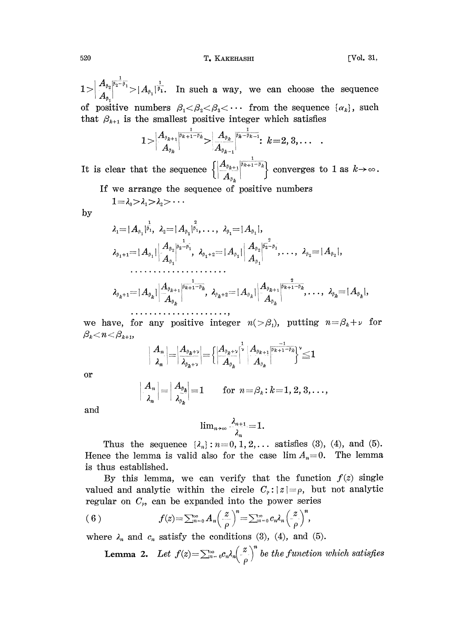## 520 **T.** KAKEHASHI **I. IVol. 31**,

 $\cdot$ 

 $1 > \left| \frac{A_{\beta_2} |^{\overline{\beta_2}-\overline{\beta_1}}}{A_{\beta_1}} \right|^{1} = \left| A_{\beta_1} \right|^{\frac{1}{\beta_1}}$ . In such a way, we can choose the sequence of positive numbers  $\beta_1 < \beta_2 < \beta_3 < \cdots$  from the sequence  $\{\alpha_k\}$ , such that  $\beta_{k+1}$  is the smallest positive integer which satisfies

$$
1\!>\!\Big|{{A_{\beta_{k+1}}}\over{A_{\beta_{k}}}}\Big|^\frac{1}{\beta_{k+1}-\beta_{k}}\!\!>\Big|{{A_{\beta_{k}}}\over{A_{\beta_{k-1}}}}\Big|^\frac{1}{\beta_{k}-\beta_{k-1}}:\ k\!=\!2,3,\ldots\Big|
$$

It is clear that the sequence  $\frac{A_{\beta_{k+1}}}{A_{\beta_k}} \begin{bmatrix} \frac{1}{\beta_{k+1}-\beta_k} \end{bmatrix}$  converges to 1 as  $k \to \infty$ .<br>
e of positive numbers<br>  $\lambda_{\beta_1} = |A_{\beta_1}|$ ,

If we arrange the sequence of positive numbers  $-3$   $-3$   $\ldots$ 

$$
1 = \lambda_0 > \lambda_1 > \lambda_2 > \cdot
$$

$$
\lambda_{1} = |A_{\beta_{1}}|^{\frac{1}{\beta_{1}}}, \ \lambda_{2} = |A_{\beta_{1}}|^{\frac{2}{\beta_{1}}}, \ \ldots, \ \lambda_{\beta_{1}} = |A_{\beta_{1}}|,
$$
\n
$$
\lambda_{\beta_{1}+1} = |A_{\beta_{1}}| \Big| \frac{A_{\beta_{2}}|^{\beta_{2}^{-1}\beta_{1}}}{A_{\beta_{1}}}, \ \lambda_{\beta_{1}+2} = |A_{\beta_{1}}| \Big| \frac{A_{\beta_{2}}|^{\beta_{2}^{-2}\beta_{1}}}{A_{\beta_{1}}}, \ \ldots, \ \lambda_{\beta_{2}} = |A_{\beta_{2}}|,
$$
\n
$$
\ldots
$$
\n
$$
\lambda_{\beta_{k}+1} = |A_{\beta_{k}}| \Big| \frac{A_{\beta_{k+1}}|^{\beta_{k+1}-\beta_{k}}}{A_{\beta_{k}}}, \ \lambda_{\beta_{k}+2} = |A_{\beta_{k}}| \Big| \frac{A_{\beta_{k+1}}|^{\beta_{k+1}-\beta_{k}}}{A_{\beta_{k}}}, \ \ldots, \ \lambda_{\beta_{k}} = |A_{\beta_{k}}|,
$$
\n
$$
\ldots
$$
\n
$$
\ldots
$$
\n
$$
\ldots
$$
\n
$$
\ldots
$$
\n
$$
\ldots
$$
\n
$$
\ldots
$$
\n
$$
\ldots
$$
\n
$$
\ldots
$$
\n
$$
\ldots
$$
\n
$$
\ldots
$$
\n
$$
\ldots
$$
\n
$$
\ldots
$$
\n
$$
\ldots
$$
\n
$$
\ldots
$$
\n
$$
\ldots
$$
\n
$$
\ldots
$$
\n
$$
\ldots
$$
\n
$$
\ldots
$$
\n
$$
\ldots
$$
\n
$$
\ldots
$$
\n
$$
\ldots
$$
\n
$$
\ldots
$$
\n
$$
\ldots
$$
\n
$$
\ldots
$$
\n
$$
\ldots
$$
\n
$$
\ldots
$$
\n
$$
\ldots
$$
\n
$$
\ldots
$$
\n
$$
\ldots
$$
\n
$$
\ldots
$$
\n<math display="block</math>

we have, for any positive integer  $n(>\beta_1)$ , putting  $n=\beta_k+\nu$  for  $\beta_k < n < \beta_{k+1}$ ,

$$
\bigg|\frac{A_{\scriptscriptstyle n}}{A_{\scriptscriptstyle n}}\bigg|\!=\!\bigg|\frac{A_{\scriptscriptstyle \beta_{k}+\nu}}{A_{\scriptscriptstyle \beta_{k}+\nu}}\bigg|\!=\!\Bigg\{\bigg|\frac{A_{\scriptscriptstyle \beta_{k}+\nu}}{A_{\scriptscriptstyle \beta_{k}}}\bigg|^{\!\frac{1}{\nu}}\bigg|\frac{A_{\scriptscriptstyle \beta_{k}+\nu}}{A_{\scriptscriptstyle \beta_{k}}}\bigg|^{\!\frac{1}{\nu_{k}+\nu-\beta_{k}}}\!\Big\}^{\nu}\!\!\leq\!1
$$

or

$$
\left|\begin{array}{c} A_n \\[1mm] \lambda_n \end{array}\right| = \left|\begin{array}{c} A_{\beta_k} \\[1mm] \lambda_{\beta_k} \end{array}\right| = 1 \qquad \text{for} \ \ n\! = \! \beta_k \!:\! k\! = \! 1,2,3,\ldots,
$$

and

$$
\lim_{n\to\infty}\frac{\lambda_{n+1}}{\lambda_n}=1.
$$

Thus the sequence  $\{\lambda_n\}: n=0, 1, 2, \ldots$  satisfies (3), (4), and (5). Hence the lemma is valid also for the case  $\lim A_n=0$ . The lemma is thus established.

By this lemma, we can verify that the function  $f(z)$  single valued and analytic within the circle  $C_{\rho}: |z|=\rho$ , but not analytic regular on  $C_{\rho}$ , can be expanded into the power series

(6) 
$$
f(z) = \sum_{n=0}^{\infty} A_n \left(\frac{z}{\rho}\right)^n = \sum_{n=0}^{\infty} c_n \lambda_n \left(\frac{z}{\rho}\right)^n,
$$

where  $\lambda_n$  and  $c_n$  satisfy the conditions (3), (4), and (5).

**Lemma 2.** Let 
$$
f(z) = \sum_{n=0}^{\infty} c_n \lambda_n \left(\frac{z}{\rho}\right)^n
$$
 be the function which satisfies

by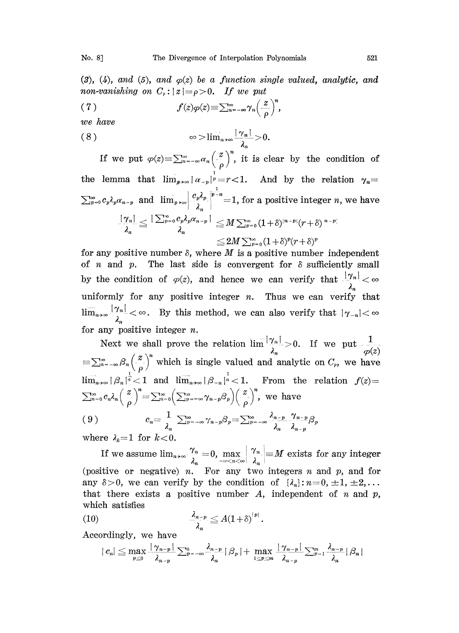(3), (4), and (5), and  $\varphi(z)$  be a function single valued, analytic, and non-vanishing on  $C_{\rho}$ :  $|z| = \rho > 0$ . If we put

$$
(7) \t f(z)\varphi(z) \equiv \sum_{n=-\infty}^{\infty} \gamma_n \left(\frac{z}{\rho}\right)^n
$$

we have

( <sup>8</sup> >lim,. v >O.

If we put  $\varphi(z) = \sum_{n=-\infty}^{\infty} a_n \left(\frac{z}{\rho}\right)^n$ , it is clear by the condition of lemma that  $\lim_{p\to\infty} |a_{-p}|^p = r < 1$ . And by the relation  $\gamma_n =$ the lemma that  $\lim_{p\to\infty} |a_{-p}|^p = r < 1$ . And by the relation  $\gamma_n =$  $\sum_{p=0}^{\infty} c_p \lambda_p \alpha_{n-p}$  and  $\lim_{p\to\infty} \left| \frac{c_p \lambda_p}{\lambda} \right|^{p-n} = 1$ , for a positive integer n, we have  $\frac{|\gamma_n|}{\lambda_n}\leq \frac{|\sum_{p=0}^\infty c_p\lambda_p\alpha_{n-p}|}{\lambda_n}\leq M \sum_{p=0}^\infty (1+\delta)^{|n-p|}(r+\delta)^{|n-p|}\ \leq 2M \sum_{p=0}^\infty (1+\delta)^p(r+\delta)^p$ 

for any positive number  $\delta$ , where  $M$  is a positive number independent of *n* and *p*. The last side is convergent for  $\delta$  sufficiently small by the condition of  $\varphi(z)$ , and hence we can verify that  $\frac{|y_n|}{|z|} < \infty$ uniformly for any positive integer  $n$ . Thus we can verify that  $\lim_{n\to\infty} \frac{|\gamma_n|}{\lambda_n} < \infty$ . By this method, we can also verify that  $|\gamma_{-n}| < \infty$ for any positive integer  $n$ .

Next we shall prove the relation  $\lim_{\lambda_n} \frac{|\gamma_n|}{\lambda_n} > 0$ . If we put  $\frac{1}{\varphi(z)} = \sum_{n=-\infty}^{\infty} \beta_n \left(\frac{z}{\rho}\right)^n$  which is single valued and analytic on  $C_{\rho}$ , we have Next we shall prove the relation  $\lim_{n \to \infty} 1^{n} > 0$ . If we put  $\varphi(z)$  $\lim_{n\to\infty} |\beta_n|^{\frac{1}{n}} < 1$  and  $\lim_{n\to\infty} |\beta_{-n}|^{\frac{1}{n}} < 1$ . From the relation  $f(z)$  $\sum_{n=0}^{\infty} c_n \lambda_n \left(\frac{z}{\rho}\right)^n = \sum_{n=0}^{\infty} \left(\sum_{p=-\infty}^{\infty} \gamma_{n-p} \beta_p \right) \left(\frac{z}{\rho}\right)^n$ , we have (9)  $c_n = \frac{1}{\lambda_n} \sum_{p=-\infty}^{\infty} \gamma_{n-p} \beta_p = \sum_{p=-\infty}^{\infty} \frac{\lambda_{n-p}}{\lambda_n} \frac{\gamma_{n-p}}{\lambda_{n-p}} \beta_p$ <br>where  $\lambda_k = 1$  for  $k < 0$ .  $(9)$ 

If we assume  $\lim_{n\to\infty} \frac{\gamma_n}{\lambda_n} = 0$ ,  $\max_{-\infty < n < \infty} \left| \frac{\gamma_n}{\lambda_n} \right| = M$  exists for any integer (positive or negative) n. For any two integers n and p, and for any  $\delta > 0$ , we can verify by the condition of  $\{\lambda_n\}: n=0, \pm 1, \pm 2, \ldots$ that there exists a positive number  $A$ , independent of  $n$  and  $p$ , which satisfies

$$
(10) \qquad \qquad \frac{\lambda_{n-p}}{\lambda_n} \leq A (1+\delta)^{|p|}.
$$

Accordingly, we have

$$
|c_n| \leq \max_{p \leq 0} \frac{|\gamma_{n-p}|}{\lambda_{n-p}} \sum_{p=-\infty}^{\infty} \frac{\lambda_{n-p}}{\lambda_n} |\beta_p| + \max_{1 \leq p \leq m} \frac{|\gamma_{n-p}|}{\lambda_{n-p}} \sum_{p=1}^m \frac{\lambda_{n-p}}{\lambda_n} |\beta_n|
$$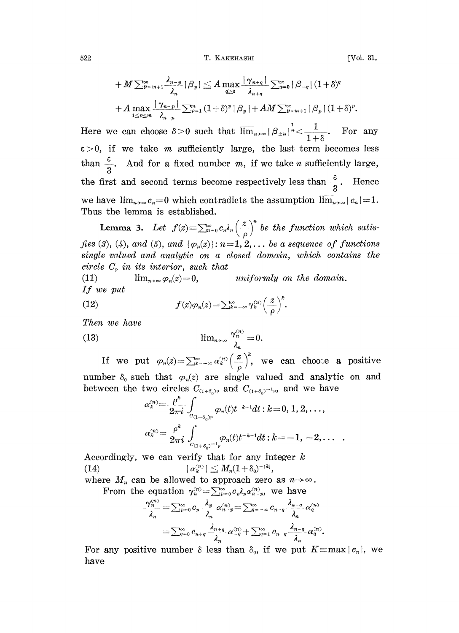522 T. KAKEHASHI [Vol. 31,

$$
+M\sum_{p=m+1}^{\infty}\frac{\lambda_{n-p}}{\lambda_n}|\beta_p| \leq A \max_{q\geq 0} \frac{|\gamma_{n+q}|}{\lambda_{n+q}}\sum_{q=0}^{\infty}|\beta_{-q}| (1+\delta)^q
$$
  
+  $A \max_{1\leq p\leq m}\frac{|\gamma_{n-p}|}{\lambda_{n-p}}\sum_{p=1}^m (1+\delta)^p |\beta_p| + AM\sum_{p=m+1}^{\infty}|\beta_p| (1+\delta)^p.$   
Here we can choose  $\delta > 0$  such that  $\lim_{n\to\infty} |\beta_{\pm n}|^{\frac{1}{n}} \leq \frac{1}{1+\delta}$ . For any

 $\varepsilon > 0$ , if we take *m* sufficiently large, the last term becomes less than  $\frac{\varepsilon}{3}$ . And for a fixed number m, if we take n sufficiently large, the first and second terms become respectively less than  $\frac{3}{3}$ . Hence we have  $\lim_{n\to\infty} c_n=0$  which contradicts the assumption  $\lim_{n\to\infty} |c_n|=1$ . Thus the lemma is established.

**Lemma 3.** Let  $f(z) \equiv \sum_{n=0}^{\infty} c_n \lambda_n \left(\frac{z}{\rho}\right)^n$  be the function which satisfies (3), (4), and (5), and  $\{\varphi_n(z)\}\colon n=1,2,\ldots$  be a sequence of functions single valued and analytic on a closed domain, which contains the circle  $C_{\rho}$  in its interior, such that<br>(11)  $\lim_{n\to\infty} \varphi_n(z) = 0$ ,

uniformly on the domain. If we put

(12) 
$$
f(z)\varphi_n(z) = \sum_{k=-\infty}^{\infty} \gamma_k^{(n)} \left(\frac{z}{\rho}\right)^k.
$$

Then we have

(13) 
$$
\lim_{n\to\infty}\frac{\gamma_n^{(n)}}{\lambda_n}=0.
$$

If we put  $\varphi_n(z) = \sum_{k=-\infty}^{\infty} \alpha_k^{(n)} \left(\frac{z}{\rho}\right)^k$ , we can choose a positive number  $\delta_0$  such that  $\varphi_n(z)$  are single valued and analytic on and between the two circles  $C_{(1+\delta_0)^p}$  and  $C_{(1+\delta_0)^{-1}p}$ , and we have

$$
\alpha_k^{(n)} = \frac{\rho^k}{2\pi i} \int_{C_{(1+\delta_0)^p}} \varphi_n(t) t^{-k-1} dt : k = 0, 1, 2, \dots,
$$
  

$$
\alpha_k^{(n)} = \frac{\rho^k}{2\pi i} \int_{C_{(1+\delta_0)^{-1}p}} \varphi_n(t) t^{-k-1} dt : k = -1, -2, \dots
$$

Accordingly, we can verify that for any integer  $k$ (14)  $|\alpha_k^{(n)}| \leq M_n(1 + \delta_0)^{-|k|},$ 

where  $M_n$  can be allowed to approach zero as  $n \rightarrow \infty$ .

From the equation  $\gamma_n^{(n)} = \sum_{p=0}^{\infty} c_p \lambda_p \alpha_{n-p}^{(n)}$ , we have

$$
\frac{\gamma_n^{(n)}}{\lambda_n}=\sum_{p=0}^\infty c_p\cdot\frac{\lambda_p}{\lambda_n}\ \alpha_{n+p}^{(n)}=\sum_{q=-\infty}^\infty c_{n-q}\frac{\lambda_{n-q}}{\lambda_n}\alpha_q^{(n)}
$$

$$
=\sum_{q=0}^\infty c_{n+q}\frac{\lambda_{n+q}}{\lambda_n}\alpha_{-q}^{(n)}+\sum_{q=1}^\infty c_{n-q}\frac{\lambda_{n-q}}{\lambda_n}\alpha_q^{(n)}
$$

For any positive number  $\delta$  less than  $\delta_0$ , if we put  $K=max|c_n|$ , we have